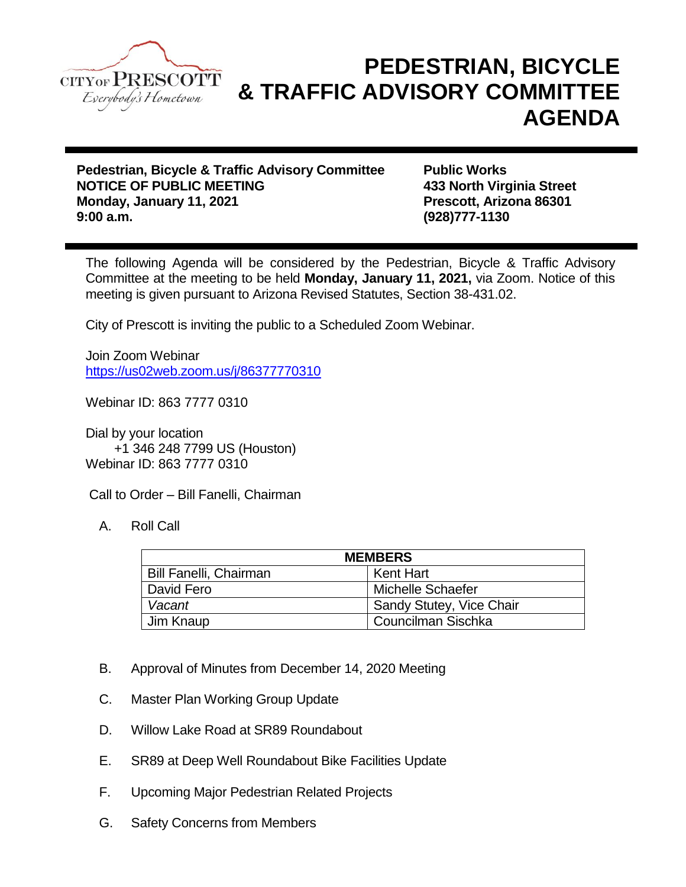

## **PEDESTRIAN, BICYCLE & TRAFFIC ADVISORY COMMITTEE AGENDA**

**Pedestrian, Bicycle & Traffic Advisory Committee Public Works NOTICE OF PUBLIC MEETING 433 North Virginia Street Monday, January 11, 2021 Prescott, Arizona 86301 9:00 a.m. (928)777-1130**

The following Agenda will be considered by the Pedestrian, Bicycle & Traffic Advisory Committee at the meeting to be held **Monday, January 11, 2021,** via Zoom. Notice of this meeting is given pursuant to Arizona Revised Statutes, Section 38-431.02.

City of Prescott is inviting the public to a Scheduled Zoom Webinar.

Join Zoom Webinar <https://us02web.zoom.us/j/86377770310>

Webinar ID: 863 7777 0310

Dial by your location +1 346 248 7799 US (Houston) Webinar ID: 863 7777 0310

Call to Order – Bill Fanelli, Chairman

A. Roll Call

| <b>MEMBERS</b>                |                          |
|-------------------------------|--------------------------|
| <b>Bill Fanelli, Chairman</b> | Kent Hart                |
| David Fero                    | Michelle Schaefer        |
| Vacant                        | Sandy Stutey, Vice Chair |
| Jim Knaup                     | Councilman Sischka       |

- B. Approval of Minutes from December 14, 2020 Meeting
- C. Master Plan Working Group Update
- D. Willow Lake Road at SR89 Roundabout
- E. SR89 at Deep Well Roundabout Bike Facilities Update
- F. Upcoming Major Pedestrian Related Projects
- G. Safety Concerns from Members